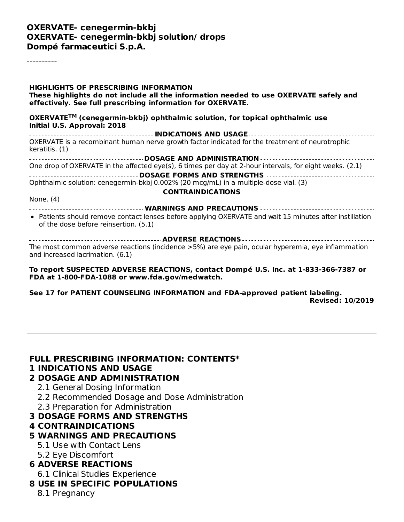#### **OXERVATE- cenegermin-bkbj OXERVATE- cenegermin-bkbj solution/ drops Dompé farmaceutici S.p.A.**

----------

**HIGHLIGHTS OF PRESCRIBING INFORMATION These highlights do not include all the information needed to use OXERVATE safely and effectively. See full prescribing information for OXERVATE. OXERVATE (cenegermin-bkbj) ophthalmic solution, for topical ophthalmic use TMInitial U.S. Approval: 2018 INDICATIONS AND USAGE** OXERVATE is a recombinant human nerve growth factor indicated for the treatment of neurotrophic keratitis. (1) **DOSAGE AND ADMINISTRATION** One drop of OXERVATE in the affected eye(s), 6 times per day at 2-hour intervals, for eight weeks. (2.1) **DOSAGE FORMS AND STRENGTHS** Ophthalmic solution: cenegermin-bkbj 0.002% (20 mcg/mL) in a multiple-dose vial. (3) **CONTRAINDICATIONS** None. (4) **WARNINGS AND PRECAUTIONS** Patients should remove contact lenses before applying OXERVATE and wait 15 minutes after instillation of the dose before reinsertion. (5.1)

**ADVERSE REACTIONS** The most common adverse reactions (incidence >5%) are eye pain, ocular hyperemia, eye inflammation and increased lacrimation. (6.1)

**To report SUSPECTED ADVERSE REACTIONS, contact Dompé U.S. Inc. at 1-833-366-7387 or FDA at 1-800-FDA-1088 or www.fda.gov/medwatch.**

**See 17 for PATIENT COUNSELING INFORMATION and FDA-approved patient labeling. Revised: 10/2019**

**FULL PRESCRIBING INFORMATION: CONTENTS\***

#### **1 INDICATIONS AND USAGE**

#### **2 DOSAGE AND ADMINISTRATION**

- 2.1 General Dosing Information
- 2.2 Recommended Dosage and Dose Administration
- 2.3 Preparation for Administration

#### **3 DOSAGE FORMS AND STRENGTHS**

#### **4 CONTRAINDICATIONS**

#### **5 WARNINGS AND PRECAUTIONS**

- 5.1 Use with Contact Lens
- 5.2 Eye Discomfort

#### **6 ADVERSE REACTIONS**

6.1 Clinical Studies Experience

#### **8 USE IN SPECIFIC POPULATIONS**

8.1 Pregnancy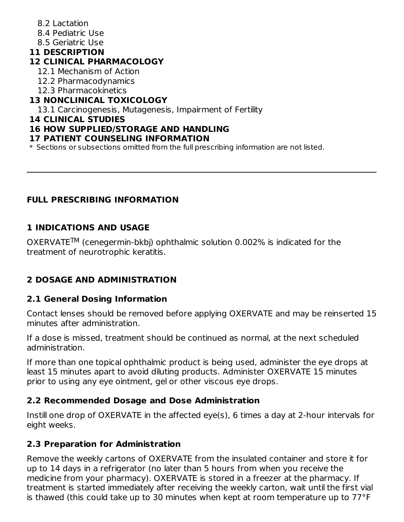- 8.2 Lactation
- 8.4 Pediatric Use
- 8.5 Geriatric Use

# **11 DESCRIPTION**

## **12 CLINICAL PHARMACOLOGY**

- 12.1 Mechanism of Action
- 12.2 Pharmacodynamics
- 12.3 Pharmacokinetics

# **13 NONCLINICAL TOXICOLOGY**

13.1 Carcinogenesis, Mutagenesis, Impairment of Fertility

#### **14 CLINICAL STUDIES**

## **16 HOW SUPPLIED/STORAGE AND HANDLING**

#### **17 PATIENT COUNSELING INFORMATION**

\* Sections or subsections omitted from the full prescribing information are not listed.

## **FULL PRESCRIBING INFORMATION**

## **1 INDICATIONS AND USAGE**

OXERVATETM (cenegermin-bkbj) ophthalmic solution 0.002% is indicated for the treatment of neurotrophic keratitis.

# **2 DOSAGE AND ADMINISTRATION**

# **2.1 General Dosing Information**

Contact lenses should be removed before applying OXERVATE and may be reinserted 15 minutes after administration.

If a dose is missed, treatment should be continued as normal, at the next scheduled administration.

If more than one topical ophthalmic product is being used, administer the eye drops at least 15 minutes apart to avoid diluting products. Administer OXERVATE 15 minutes prior to using any eye ointment, gel or other viscous eye drops.

## **2.2 Recommended Dosage and Dose Administration**

Instill one drop of OXERVATE in the affected eye(s), 6 times a day at 2-hour intervals for eight weeks.

## **2.3 Preparation for Administration**

Remove the weekly cartons of OXERVATE from the insulated container and store it for up to 14 days in a refrigerator (no later than 5 hours from when you receive the medicine from your pharmacy). OXERVATE is stored in a freezer at the pharmacy. If treatment is started immediately after receiving the weekly carton, wait until the first vial is thawed (this could take up to 30 minutes when kept at room temperature up to 77°F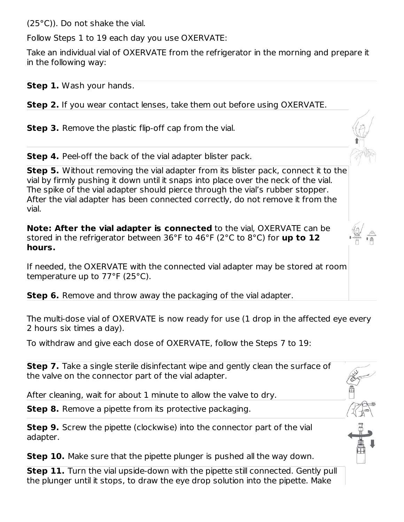(25°C)). Do not shake the vial.

Follow Steps 1 to 19 each day you use OXERVATE:

Take an individual vial of OXERVATE from the refrigerator in the morning and prepare it in the following way:

**Step 1.** Wash your hands.

**Step 2.** If you wear contact lenses, take them out before using OXERVATE.

**Step 3.** Remove the plastic flip-off cap from the vial.

**Step 4.** Peel-off the back of the vial adapter blister pack.

**Step 5.** Without removing the vial adapter from its blister pack, connect it to the vial by firmly pushing it down until it snaps into place over the neck of the vial. The spike of the vial adapter should pierce through the vial's rubber stopper. After the vial adapter has been connected correctly, do not remove it from the vial.

**Note: After the vial adapter is connected** to the vial, OXERVATE can be stored in the refrigerator between 36°F to 46°F (2°C to 8°C) for **up to 12 hours.**

If needed, the OXERVATE with the connected vial adapter may be stored at room temperature up to 77°F (25°C).

**Step 6.** Remove and throw away the packaging of the vial adapter.

The multi-dose vial of OXERVATE is now ready for use (1 drop in the affected eye every 2 hours six times a day).

To withdraw and give each dose of OXERVATE, follow the Steps 7 to 19:

**Step 7.** Take a single sterile disinfectant wipe and gently clean the surface of the valve on the connector part of the vial adapter.

After cleaning, wait for about 1 minute to allow the valve to dry.

**Step 8.** Remove a pipette from its protective packaging.

**Step 9.** Screw the pipette (clockwise) into the connector part of the vial adapter.

**Step 10.** Make sure that the pipette plunger is pushed all the way down.

**Step 11.** Turn the vial upside-down with the pipette still connected. Gently pull the plunger until it stops, to draw the eye drop solution into the pipette. Make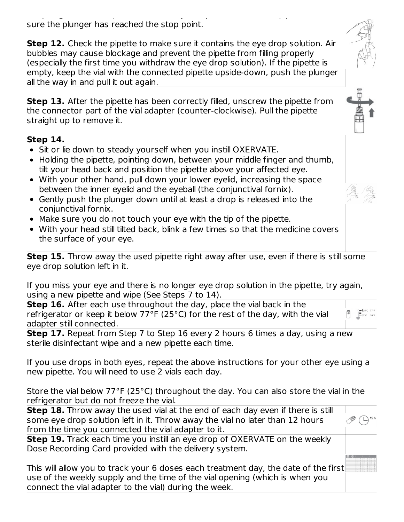the plunger until it stops, to draw the eye drop solution into the pipette. Make sure the plunger has reached the stop point.

**Step 12.** Check the pipette to make sure it contains the eye drop solution. Air bubbles may cause blockage and prevent the pipette from filling properly (especially the first time you withdraw the eye drop solution). If the pipette is empty, keep the vial with the connected pipette upside-down, push the plunger all the way in and pull it out again.

**Step 13.** After the pipette has been correctly filled, unscrew the pipette from the connector part of the vial adapter (counter-clockwise). Pull the pipette straight up to remove it.

#### **Step 14.**

- Sit or lie down to steady yourself when you instill OXERVATE.
- Holding the pipette, pointing down, between your middle finger and thumb, tilt your head back and position the pipette above your affected eye.
- With your other hand, pull down your lower eyelid, increasing the space between the inner eyelid and the eyeball (the conjunctival fornix).
- Gently push the plunger down until at least a drop is released into the conjunctival fornix.
- Make sure you do not touch your eye with the tip of the pipette.
- With your head still tilted back, blink a few times so that the medicine covers the surface of your eye.

**Step 15.** Throw away the used pipette right away after use, even if there is still some eye drop solution left in it.

If you miss your eye and there is no longer eye drop solution in the pipette, try again, using a new pipette and wipe (See Steps 7 to 14).

**Step 16.** After each use throughout the day, place the vial back in the refrigerator or keep it below 77°F (25°C) for the rest of the day, with the vial adapter still connected.

**Step 17.** Repeat from Step 7 to Step 16 every 2 hours 6 times a day, using a new sterile disinfectant wipe and a new pipette each time.

If you use drops in both eyes, repeat the above instructions for your other eye using a new pipette. You will need to use 2 vials each day.

Store the vial below 77°F (25°C) throughout the day. You can also store the vial in the refrigerator but do not freeze the vial.

| <b>Step 18.</b> Throw away the used vial at the end of each day even if there is still |                |
|----------------------------------------------------------------------------------------|----------------|
| some eye drop solution left in it. Throw away the vial no later than 12 hours          | $\mathbb{R}$ ( |
| from the time you connected the vial adapter to it.                                    |                |

**Step 19.** Track each time you instill an eye drop of OXERVATE on the weekly Dose Recording Card provided with the delivery system.

This will allow you to track your 6 doses each treatment day, the date of the first use of the weekly supply and the time of the vial opening (which is when you connect the vial adapter to the vial) during the week.









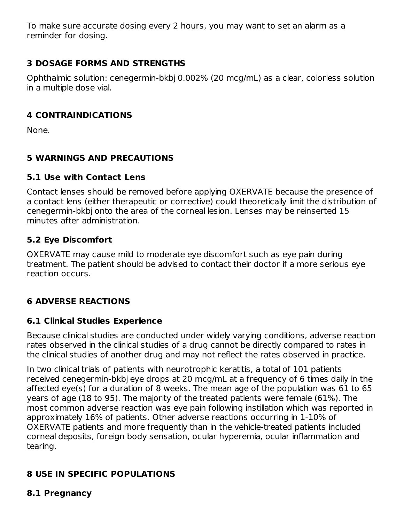To make sure accurate dosing every 2 hours, you may want to set an alarm as a reminder for dosing.

## **3 DOSAGE FORMS AND STRENGTHS**

Ophthalmic solution: cenegermin-bkbj 0.002% (20 mcg/mL) as a clear, colorless solution in a multiple dose vial.

## **4 CONTRAINDICATIONS**

None.

# **5 WARNINGS AND PRECAUTIONS**

## **5.1 Use with Contact Lens**

Contact lenses should be removed before applying OXERVATE because the presence of a contact lens (either therapeutic or corrective) could theoretically limit the distribution of cenegermin-bkbj onto the area of the corneal lesion. Lenses may be reinserted 15 minutes after administration.

## **5.2 Eye Discomfort**

OXERVATE may cause mild to moderate eye discomfort such as eye pain during treatment. The patient should be advised to contact their doctor if a more serious eye reaction occurs.

# **6 ADVERSE REACTIONS**

## **6.1 Clinical Studies Experience**

Because clinical studies are conducted under widely varying conditions, adverse reaction rates observed in the clinical studies of a drug cannot be directly compared to rates in the clinical studies of another drug and may not reflect the rates observed in practice.

In two clinical trials of patients with neurotrophic keratitis, a total of 101 patients received cenegermin-bkbj eye drops at 20 mcg/mL at a frequency of 6 times daily in the affected eye(s) for a duration of 8 weeks. The mean age of the population was 61 to 65 years of age (18 to 95). The majority of the treated patients were female (61%). The most common adverse reaction was eye pain following instillation which was reported in approximately 16% of patients. Other adverse reactions occurring in 1-10% of OXERVATE patients and more frequently than in the vehicle-treated patients included corneal deposits, foreign body sensation, ocular hyperemia, ocular inflammation and tearing.

# **8 USE IN SPECIFIC POPULATIONS**

## **8.1 Pregnancy**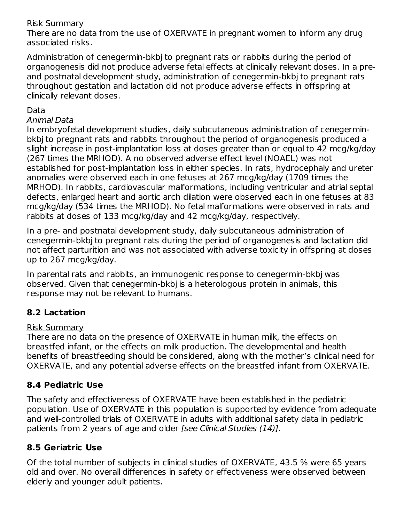### Risk Summary

There are no data from the use of OXERVATE in pregnant women to inform any drug associated risks.

Administration of cenegermin-bkbj to pregnant rats or rabbits during the period of organogenesis did not produce adverse fetal effects at clinically relevant doses. In a preand postnatal development study, administration of cenegermin-bkbj to pregnant rats throughout gestation and lactation did not produce adverse effects in offspring at clinically relevant doses.

## Data

#### Animal Data

In embryofetal development studies, daily subcutaneous administration of cenegerminbkbj to pregnant rats and rabbits throughout the period of organogenesis produced a slight increase in post-implantation loss at doses greater than or equal to 42 mcg/kg/day (267 times the MRHOD). A no observed adverse effect level (NOAEL) was not established for post-implantation loss in either species. In rats, hydrocephaly and ureter anomalies were observed each in one fetuses at 267 mcg/kg/day (1709 times the MRHOD). In rabbits, cardiovascular malformations, including ventricular and atrial septal defects, enlarged heart and aortic arch dilation were observed each in one fetuses at 83 mcg/kg/day (534 times the MRHOD). No fetal malformations were observed in rats and rabbits at doses of 133 mcg/kg/day and 42 mcg/kg/day, respectively.

In a pre- and postnatal development study, daily subcutaneous administration of cenegermin-bkbj to pregnant rats during the period of organogenesis and lactation did not affect parturition and was not associated with adverse toxicity in offspring at doses up to 267 mcg/kg/day.

In parental rats and rabbits, an immunogenic response to cenegermin-bkbj was observed. Given that cenegermin-bkbj is a heterologous protein in animals, this response may not be relevant to humans.

# **8.2 Lactation**

#### Risk Summary

There are no data on the presence of OXERVATE in human milk, the effects on breastfed infant, or the effects on milk production. The developmental and health benefits of breastfeeding should be considered, along with the mother's clinical need for OXERVATE, and any potential adverse effects on the breastfed infant from OXERVATE.

# **8.4 Pediatric Use**

The safety and effectiveness of OXERVATE have been established in the pediatric population. Use of OXERVATE in this population is supported by evidence from adequate and well-controlled trials of OXERVATE in adults with additional safety data in pediatric patients from 2 years of age and older [see Clinical Studies (14)].

## **8.5 Geriatric Use**

Of the total number of subjects in clinical studies of OXERVATE, 43.5 % were 65 years old and over. No overall differences in safety or effectiveness were observed between elderly and younger adult patients.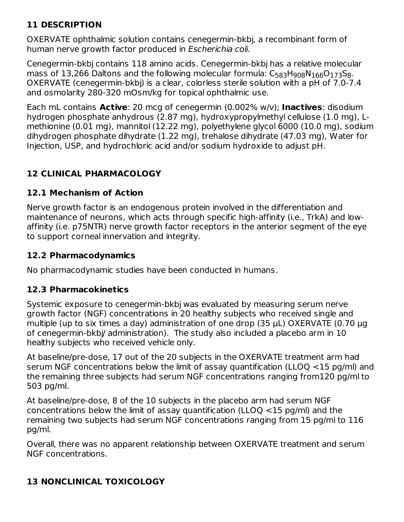# **11 DESCRIPTION**

OXERVATE ophthalmic solution contains cenegermin-bkbj, a recombinant form of human nerve growth factor produced in Escherichia coli.

Cenegermin-bkbj contains 118 amino acids. Cenegermin-bkbj has a relative molecular mass of 13,266 Daltons and the following molecular formula:  $\mathsf{C}_{583}\mathsf{H}_{908}\mathsf{N}_{166}\mathsf{O}_{173}\mathsf{S}_{8}.$ OXERVATE (cenegermin-bkbj) is a clear, colorless sterile solution with a pH of 7.0-7.4 and osmolarity 280-320 mOsm/kg for topical ophthalmic use.

Each mL contains **Active**: 20 mcg of cenegermin (0.002% w/v); **Inactives**: disodium hydrogen phosphate anhydrous (2.87 mg), hydroxypropylmethyl cellulose (1.0 mg), Lmethionine (0.01 mg), mannitol (12.22 mg), polyethylene glycol 6000 (10.0 mg), sodium dihydrogen phosphate dihydrate (1.22 mg), trehalose dihydrate (47.03 mg), Water for Injection, USP, and hydrochloric acid and/or sodium hydroxide to adjust pH.

## **12 CLINICAL PHARMACOLOGY**

#### **12.1 Mechanism of Action**

Nerve growth factor is an endogenous protein involved in the differentiation and maintenance of neurons, which acts through specific high-affinity (i.e., TrkA) and lowaffinity (i.e. p75NTR) nerve growth factor receptors in the anterior segment of the eye to support corneal innervation and integrity.

#### **12.2 Pharmacodynamics**

No pharmacodynamic studies have been conducted in humans.

## **12.3 Pharmacokinetics**

Systemic exposure to cenegermin-bkbj was evaluated by measuring serum nerve growth factor (NGF) concentrations in 20 healthy subjects who received single and multiple (up to six times a day) administration of one drop (35 μL) OXERVATE (0.70 μg of cenegermin-bkbj/ administration). The study also included a placebo arm in 10 healthy subjects who received vehicle only.

At baseline/pre-dose, 17 out of the 20 subjects in the OXERVATE treatment arm had serum NGF concentrations below the limit of assay quantification (LLOQ <15 pg/ml) and the remaining three subjects had serum NGF concentrations ranging from120 pg/ml to 503 pg/ml.

At baseline/pre-dose, 8 of the 10 subjects in the placebo arm had serum NGF concentrations below the limit of assay quantification (LLOQ <15 pg/ml) and the remaining two subjects had serum NGF concentrations ranging from 15 pg/ml to 116 pg/ml.

Overall, there was no apparent relationship between OXERVATE treatment and serum NGF concentrations.

# **13 NONCLINICAL TOXICOLOGY**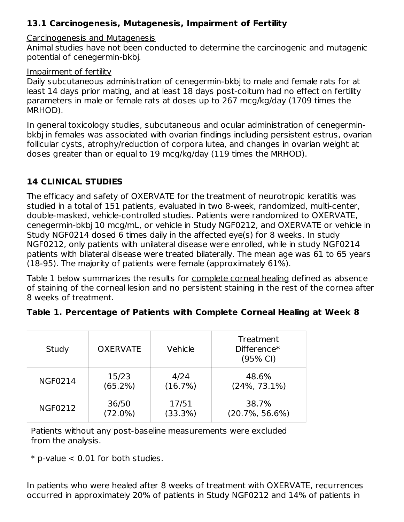# **13.1 Carcinogenesis, Mutagenesis, Impairment of Fertility**

#### Carcinogenesis and Mutagenesis

Animal studies have not been conducted to determine the carcinogenic and mutagenic potential of cenegermin-bkbj.

#### Impairment of fertility

Daily subcutaneous administration of cenegermin-bkbj to male and female rats for at least 14 days prior mating, and at least 18 days post-coitum had no effect on fertility parameters in male or female rats at doses up to 267 mcg/kg/day (1709 times the MRHOD).

In general toxicology studies, subcutaneous and ocular administration of cenegerminbkbj in females was associated with ovarian findings including persistent estrus, ovarian follicular cysts, atrophy/reduction of corpora lutea, and changes in ovarian weight at doses greater than or equal to 19 mcg/kg/day (119 times the MRHOD).

## **14 CLINICAL STUDIES**

The efficacy and safety of OXERVATE for the treatment of neurotropic keratitis was studied in a total of 151 patients, evaluated in two 8-week, randomized, multi-center, double-masked, vehicle-controlled studies. Patients were randomized to OXERVATE, cenegermin-bkbj 10 mcg/mL, or vehicle in Study NGF0212, and OXERVATE or vehicle in Study NGF0214 dosed 6 times daily in the affected eye(s) for 8 weeks. In study NGF0212, only patients with unilateral disease were enrolled, while in study NGF0214 patients with bilateral disease were treated bilaterally. The mean age was 61 to 65 years (18-95). The majority of patients were female (approximately 61%).

Table 1 below summarizes the results for complete corneal healing defined as absence of staining of the corneal lesion and no persistent staining in the rest of the cornea after 8 weeks of treatment.

| Study          | <b>OXERVATE</b> | Vehicle | Treatment<br>Difference $*$<br>$(95% \text{ Cl})$ |
|----------------|-----------------|---------|---------------------------------------------------|
| <b>NGF0214</b> | 15/23           | 4/24    | 48.6%                                             |
|                | (65.2%)         | (16.7%) | $(24\%, 73.1\%)$                                  |
| <b>NGF0212</b> | 36/50           | 17/51   | 38.7%                                             |
|                | $(72.0\%)$      | (33.3%) | $(20.7\% , 56.6\%)$                               |

Patients without any post-baseline measurements were excluded from the analysis.

 $*$  p-value  $< 0.01$  for both studies.

In patients who were healed after 8 weeks of treatment with OXERVATE, recurrences occurred in approximately 20% of patients in Study NGF0212 and 14% of patients in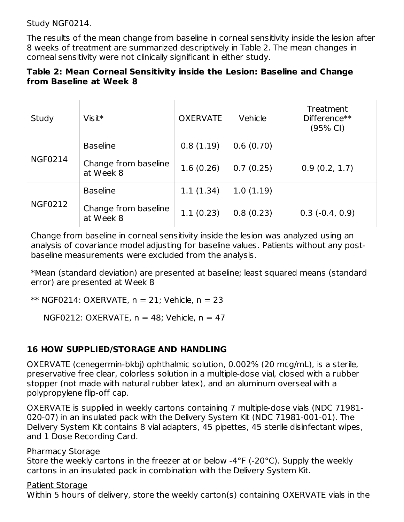Study NGF0214.

The results of the mean change from baseline in corneal sensitivity inside the lesion after 8 weeks of treatment are summarized descriptively in Table 2. The mean changes in corneal sensitivity were not clinically significant in either study.

#### **Table 2: Mean Corneal Sensitivity inside the Lesion: Baseline and Change from Baseline at Week 8**

| Study          | $V$ isit $*$                      | <b>OXERVATE</b> | Vehicle   | Treatment<br>Difference**<br>(95% CI) |
|----------------|-----------------------------------|-----------------|-----------|---------------------------------------|
|                | <b>Baseline</b>                   | 0.8(1.19)       | 0.6(0.70) |                                       |
| <b>NGF0214</b> | Change from baseline<br>at Week 8 | 1.6(0.26)       | 0.7(0.25) | 0.9(0.2, 1.7)                         |
|                | <b>Baseline</b>                   | 1.1(1.34)       | 1.0(1.19) |                                       |
| <b>NGF0212</b> | Change from baseline<br>at Week 8 | 1.1(0.23)       | 0.8(0.23) | $0.3(-0.4, 0.9)$                      |

Change from baseline in corneal sensitivity inside the lesion was analyzed using an analysis of covariance model adjusting for baseline values. Patients without any postbaseline measurements were excluded from the analysis.

\*Mean (standard deviation) are presented at baseline; least squared means (standard error) are presented at Week 8

\*\* NGF0214: OXERVATE, n = 21; Vehicle, n = 23

NGF0212: OXERVATE,  $n = 48$ ; Vehicle,  $n = 47$ 

## **16 HOW SUPPLIED/STORAGE AND HANDLING**

OXERVATE (cenegermin-bkbj) ophthalmic solution, 0.002% (20 mcg/mL), is a sterile, preservative free clear, colorless solution in a multiple-dose vial, closed with a rubber stopper (not made with natural rubber latex), and an aluminum overseal with a polypropylene flip-off cap.

OXERVATE is supplied in weekly cartons containing 7 multiple-dose vials (NDC 71981- 020-07) in an insulated pack with the Delivery System Kit (NDC 71981-001-01). The Delivery System Kit contains 8 vial adapters, 45 pipettes, 45 sterile disinfectant wipes, and 1 Dose Recording Card.

#### Pharmacy Storage

Store the weekly cartons in the freezer at or below -4°F (-20°C). Supply the weekly cartons in an insulated pack in combination with the Delivery System Kit.

#### Patient Storage

Within 5 hours of delivery, store the weekly carton(s) containing OXERVATE vials in the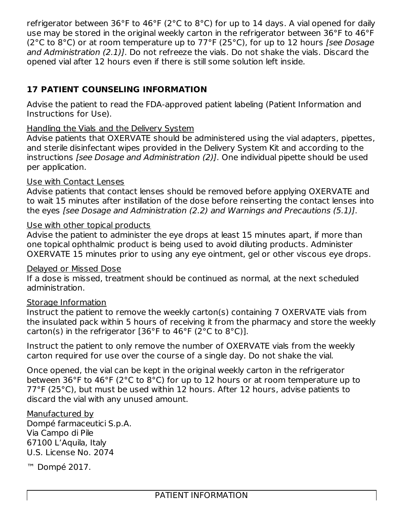refrigerator between 36°F to 46°F (2°C to 8°C) for up to 14 days. A vial opened for daily use may be stored in the original weekly carton in the refrigerator between 36°F to 46°F (2 $^{\circ}$ C to 8 $^{\circ}$ C) or at room temperature up to 77 $^{\circ}$ F (25 $^{\circ}$ C), for up to 12 hours *[see Dosage* and Administration (2.1)]. Do not refreeze the vials. Do not shake the vials. Discard the opened vial after 12 hours even if there is still some solution left inside.

# **17 PATIENT COUNSELING INFORMATION**

Advise the patient to read the FDA-approved patient labeling (Patient Information and Instructions for Use).

#### Handling the Vials and the Delivery System

Advise patients that OXERVATE should be administered using the vial adapters, pipettes, and sterile disinfectant wipes provided in the Delivery System Kit and according to the instructions [see Dosage and Administration (2)]. One individual pipette should be used per application.

#### Use with Contact Lenses

Advise patients that contact lenses should be removed before applying OXERVATE and to wait 15 minutes after instillation of the dose before reinserting the contact lenses into the eyes [see Dosage and Administration (2.2) and Warnings and Precautions (5.1)].

#### Use with other topical products

Advise the patient to administer the eye drops at least 15 minutes apart, if more than one topical ophthalmic product is being used to avoid diluting products. Administer OXERVATE 15 minutes prior to using any eye ointment, gel or other viscous eye drops.

#### Delayed or Missed Dose

If a dose is missed, treatment should be continued as normal, at the next scheduled administration.

## Storage Information

Instruct the patient to remove the weekly carton(s) containing 7 OXERVATE vials from the insulated pack within 5 hours of receiving it from the pharmacy and store the weekly carton(s) in the refrigerator [36°F to 46°F (2°C to 8°C)].

Instruct the patient to only remove the number of OXERVATE vials from the weekly carton required for use over the course of a single day. Do not shake the vial.

Once opened, the vial can be kept in the original weekly carton in the refrigerator between 36°F to 46°F (2°C to 8°C) for up to 12 hours or at room temperature up to 77°F (25°C), but must be used within 12 hours. After 12 hours, advise patients to discard the vial with any unused amount.

#### Manufactured by

Dompé farmaceutici S.p.A. Via Campo di Pile 67100 L'Aquila, Italy U.S. License No. 2074

™ Dompé 2017.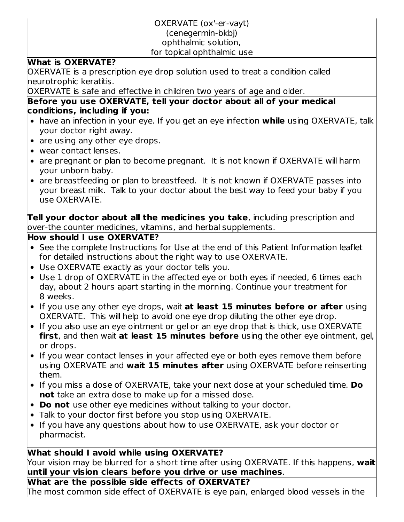# OXERVATE (ox'-er-vayt)

#### (cenegermin-bkbj)

#### ophthalmic solution,

#### for topical ophthalmic use

#### **What is OXERVATE?**

OXERVATE is a prescription eye drop solution used to treat a condition called neurotrophic keratitis.

OXERVATE is safe and effective in children two years of age and older.

#### **Before you use OXERVATE, tell your doctor about all of your medical conditions, including if you:**

- have an infection in your eye. If you get an eye infection **while** using OXERVATE, talk your doctor right away.
- are using any other eye drops.
- wear contact lenses.
- are pregnant or plan to become pregnant. It is not known if OXERVATE will harm your unborn baby.
- are breastfeeding or plan to breastfeed. It is not known if OXERVATE passes into your breast milk. Talk to your doctor about the best way to feed your baby if you use OXERVATE.

**Tell your doctor about all the medicines you take**, including prescription and over-the counter medicines, vitamins, and herbal supplements.

#### **How should I use OXERVATE?**

- See the complete Instructions for Use at the end of this Patient Information leaflet for detailed instructions about the right way to use OXERVATE.
- Use OXERVATE exactly as your doctor tells you.
- Use 1 drop of OXERVATE in the affected eye or both eyes if needed, 6 times each day, about 2 hours apart starting in the morning. Continue your treatment for 8 weeks.
- If you use any other eye drops, wait **at least 15 minutes before or after** using OXERVATE. This will help to avoid one eye drop diluting the other eye drop.
- If you also use an eye ointment or gel or an eye drop that is thick, use OXERVATE **first**, and then wait **at least 15 minutes before** using the other eye ointment, gel, or drops.
- If you wear contact lenses in your affected eye or both eyes remove them before using OXERVATE and **wait 15 minutes after** using OXERVATE before reinserting them.
- If you miss a dose of OXERVATE, take your next dose at your scheduled time. **Do not** take an extra dose to make up for a missed dose.
- **Do not** use other eye medicines without talking to your doctor.
- Talk to your doctor first before you stop using OXERVATE.
- If you have any questions about how to use OXERVATE, ask your doctor or pharmacist.

# **What should I avoid while using OXERVATE?**

Your vision may be blurred for a short time after using OXERVATE. If this happens, **wait until your vision clears before you drive or use machines**.

## **What are the possible side effects of OXERVATE?**

The most common side effect of OXERVATE is eye pain, enlarged blood vessels in the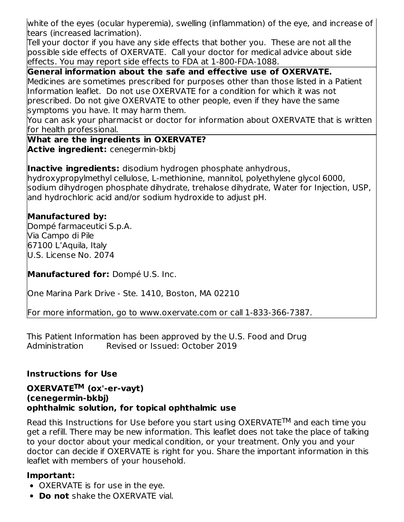white of the eyes (ocular hyperemia), swelling (inflammation) of the eye, and increase of tears (increased lacrimation).

Tell your doctor if you have any side effects that bother you. These are not all the possible side effects of OXERVATE. Call your doctor for medical advice about side effects. You may report side effects to FDA at 1-800-FDA-1088.

**General information about the safe and effective use of OXERVATE.**

Medicines are sometimes prescribed for purposes other than those listed in a Patient Information leaflet. Do not use OXERVATE for a condition for which it was not prescribed. Do not give OXERVATE to other people, even if they have the same symptoms you have. It may harm them.

You can ask your pharmacist or doctor for information about OXERVATE that is written for health professional.

**What are the ingredients in OXERVATE? Active ingredient:** cenegermin-bkbj

**Inactive ingredients:** disodium hydrogen phosphate anhydrous, hydroxypropylmethyl cellulose, L‑methionine, mannitol, polyethylene glycol 6000, sodium dihydrogen phosphate dihydrate, trehalose dihydrate, Water for Injection, USP, and hydrochloric acid and/or sodium hydroxide to adjust pH.

# **Manufactured by:**

Dompé farmaceutici S.p.A. Via Campo di Pile 67100 L'Aquila, Italy U.S. License No. 2074

**Manufactured for:** Dompé U.S. Inc.

One Marina Park Drive - Ste. 1410, Boston, MA 02210

For more information, go to www.oxervate.com or call 1-833-366-7387.

This Patient Information has been approved by the U.S. Food and Drug Administration Revised or Issued: October 2019

## **Instructions for Use**

#### OXERVATE<sup>TM</sup> (ox'-er-vayt) **(cenegermin-bkbj) ophthalmic solution, for topical ophthalmic use**

Read this Instructions for Use before you start using  $O X E R V A T E^{TM}$  and each time you get a refill. There may be new information. This leaflet does not take the place of talking to your doctor about your medical condition, or your treatment. Only you and your doctor can decide if OXERVATE is right for you. Share the important information in this leaflet with members of your household.

# **Important:**

- OXERVATE is for use in the eye.
- **Do not** shake the OXERVATE vial.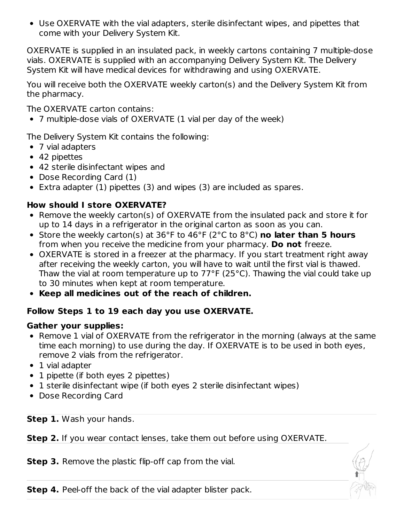Use OXERVATE with the vial adapters, sterile disinfectant wipes, and pipettes that come with your Delivery System Kit.

OXERVATE is supplied in an insulated pack, in weekly cartons containing 7 multiple-dose vials. OXERVATE is supplied with an accompanying Delivery System Kit. The Delivery System Kit will have medical devices for withdrawing and using OXERVATE.

You will receive both the OXERVATE weekly carton(s) and the Delivery System Kit from the pharmacy.

The OXERVATE carton contains:

7 multiple-dose vials of OXERVATE (1 vial per day of the week)

The Delivery System Kit contains the following:

- 7 vial adapters
- 42 pipettes
- 42 sterile disinfectant wipes and
- Dose Recording Card (1)
- Extra adapter (1) pipettes (3) and wipes (3) are included as spares.

## **How should I store OXERVATE?**

- Remove the weekly carton(s) of OXERVATE from the insulated pack and store it for up to 14 days in a refrigerator in the original carton as soon as you can.
- Store the weekly carton(s) at 36°F to 46°F (2°C to 8°C) **no later than 5 hours** from when you receive the medicine from your pharmacy. **Do not** freeze.
- OXERVATE is stored in a freezer at the pharmacy. If you start treatment right away after receiving the weekly carton, you will have to wait until the first vial is thawed. Thaw the vial at room temperature up to 77°F (25°C). Thawing the vial could take up to 30 minutes when kept at room temperature.
- **Keep all medicines out of the reach of children.**

# **Follow Steps 1 to 19 each day you use OXERVATE.**

## **Gather your supplies:**

- Remove 1 vial of OXERVATE from the refrigerator in the morning (always at the same time each morning) to use during the day. If OXERVATE is to be used in both eyes, remove 2 vials from the refrigerator.
- 1 vial adapter
- 1 pipette (if both eyes 2 pipettes)
- 1 sterile disinfectant wipe (if both eyes 2 sterile disinfectant wipes)
- Dose Recording Card

**Step 1.** Wash your hands.

**Step 2.** If you wear contact lenses, take them out before using OXERVATE.

**Step 3.** Remove the plastic flip-off cap from the vial.

**Step 4.** Peel-off the back of the vial adapter blister pack.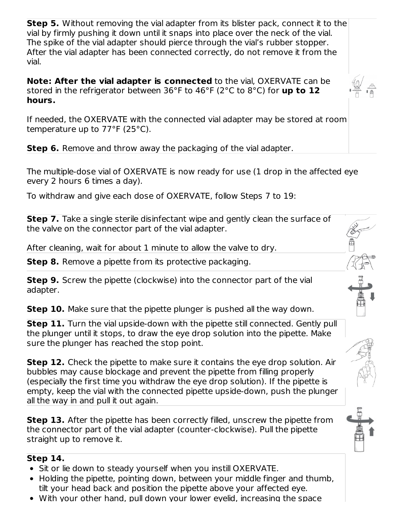**Step 5.** Without removing the vial adapter from its blister pack, connect it to the vial by firmly pushing it down until it snaps into place over the neck of the vial. The spike of the vial adapter should pierce through the vial's rubber stopper. After the vial adapter has been connected correctly, do not remove it from the vial.

**Note: After the vial adapter is connected** to the vial, OXERVATE can be stored in the refrigerator between 36°F to 46°F (2°C to 8°C) for **up to 12 hours.**

If needed, the OXERVATE with the connected vial adapter may be stored at room temperature up to 77°F (25°C).

**Step 6.** Remove and throw away the packaging of the vial adapter.

The multiple-dose vial of OXERVATE is now ready for use (1 drop in the affected eye every 2 hours 6 times a day).

To withdraw and give each dose of OXERVATE, follow Steps 7 to 19:

**Step 7.** Take a single sterile disinfectant wipe and gently clean the surface of the valve on the connector part of the vial adapter.

After cleaning, wait for about 1 minute to allow the valve to dry.

**Step 8.** Remove a pipette from its protective packaging.

**Step 9.** Screw the pipette (clockwise) into the connector part of the vial adapter.

**Step 10.** Make sure that the pipette plunger is pushed all the way down.

**Step 11.** Turn the vial upside-down with the pipette still connected. Gently pull the plunger until it stops, to draw the eye drop solution into the pipette. Make sure the plunger has reached the stop point.

**Step 12.** Check the pipette to make sure it contains the eye drop solution. Air bubbles may cause blockage and prevent the pipette from filling properly (especially the first time you withdraw the eye drop solution). If the pipette is empty, keep the vial with the connected pipette upside-down, push the plunger all the way in and pull it out again.

**Step 13.** After the pipette has been correctly filled, unscrew the pipette from the connector part of the vial adapter (counter-clockwise). Pull the pipette straight up to remove it.

## **Step 14.**

- Sit or lie down to steady yourself when you instill OXERVATE.
- Holding the pipette, pointing down, between your middle finger and thumb, tilt your head back and position the pipette above your affected eye.
- With your other hand, pull down your lower eyelid, increasing the space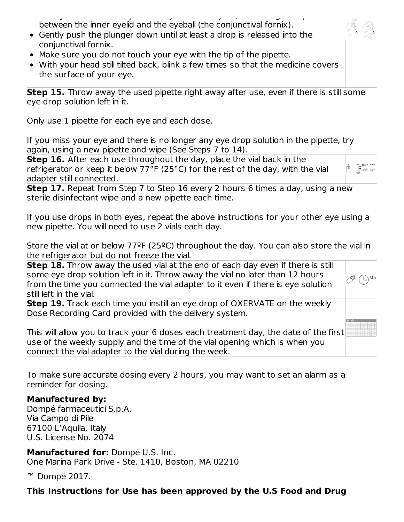With your other hand, pull down your lower eyelid, increasing the space between the inner eyelid and the eyeball (the conjunctival fornix).

- Gently push the plunger down until at least a drop is released into the conjunctival fornix.
- Make sure you do not touch your eye with the tip of the pipette.
- With your head still tilted back, blink a few times so that the medicine covers the surface of your eye.

**Step 15.** Throw away the used pipette right away after use, even if there is still some eye drop solution left in it.

Only use 1 pipette for each eye and each dose.

If you miss your eye and there is no longer any eye drop solution in the pipette, try again, using a new pipette and wipe (See Steps 7 to 14).

**Step 16.** After each use throughout the day, place the vial back in the refrigerator or keep it below 77°F (25°C) for the rest of the day, with the vial adapter still connected.

 $\begin{bmatrix} \begin{matrix} 1 & 25^{\circ} \text{C} & 77^{\circ} \text{F} \\ 1 & 2^{\circ} \text{C} & 36^{\circ} \text{F} \end{matrix} \end{bmatrix}$ 

 $12<sub>h</sub>$ 

Ê

**Step 17.** Repeat from Step 7 to Step 16 every 2 hours 6 times a day, using a new sterile disinfectant wipe and a new pipette each time.

If you use drops in both eyes, repeat the above instructions for your other eye using a new pipette. You will need to use 2 vials each day.

Store the vial at or below 77ºF (25ºC) throughout the day. You can also store the vial in the refrigerator but do not freeze the vial.

**Step 18.** Throw away the used vial at the end of each day even if there is still some eye drop solution left in it. Throw away the vial no later than 12 hours from the time you connected the vial adapter to it even if there is eye solution still left in the vial.

**Step 19.** Track each time you instill an eye drop of OXERVATE on the weekly Dose Recording Card provided with the delivery system.

This will allow you to track your 6 doses each treatment day, the date of the first use of the weekly supply and the time of the vial opening which is when you connect the vial adapter to the vial during the week.

To make sure accurate dosing every 2 hours, you may want to set an alarm as a reminder for dosing.

## **Manufactured by:**

Dompé farmaceutici S.p.A. Via Campo di Pile 67100 L'Aquila, Italy U.S. License No. 2074

**Manufactured for:** Dompé U.S. Inc. One Marina Park Drive - Ste. 1410, Boston, MA 02210

™ Dompé 2017.

#### **This Instructions for Use has been approved by the U.S Food and Drug**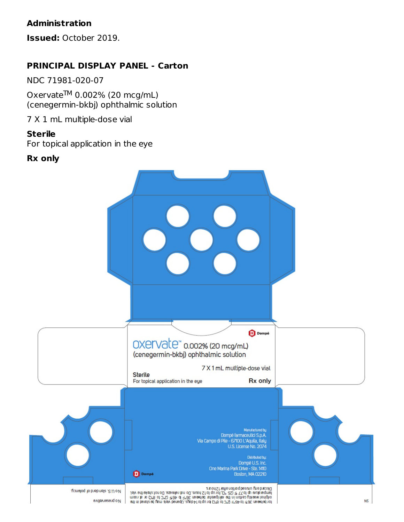## **Administration**

**Issued:** October 2019.

### **PRINCIPAL DISPLAY PANEL - Carton**

NDC 71981-020-07

Oxervate $^{TM}$  0.002% (20 mcg/mL) (cenegermin-bkbj) ophthalmic solution

7 X 1 mL multiple-dose vial

#### **Sterile**

For topical application in the eye

#### **Rx only**

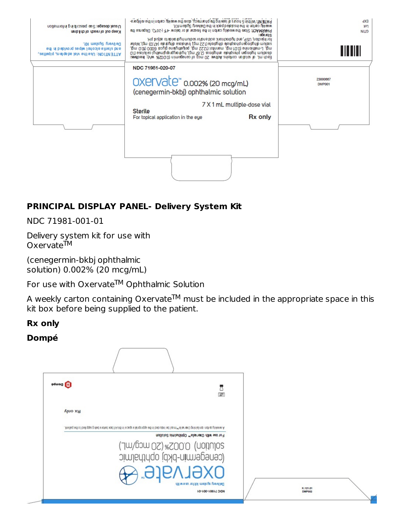| Denet dosage: See prescribing information<br>Keep out of readh of children<br>De livery System Klt.<br>and stedle alcohol wpes provided in the<br>ATTENTION: Use the vial adapters, pipettes, | PATENT: Within 5 hours of leaving the pharmecy, store the weekly carbinin the reingers-<br>ent ean aqaid .(2°0≤-) 7°1≻ woled 10 ts tespent ent ni not es ulble ewent end 3. YOAM 9AH 9<br>for hiperative of the hydrochlorie acid and/or suburbut oxide to adjust pH.<br>edium dhigongama grapha danga (gan SSI) alang dangang nagang (47.03 mg), Water<br>mg), L-methionie (O.O1 mg), mannitol (1222 mg), polylehio glugi solo (100 mg),<br>Eastling by Marian professor and the server of the context who server is a server of 10.<br>The said of the main professor and the server of the server of the server of the context. | weekly carton in the insulated paking the Delivery System Kit.<br>20000 | dX<br>107<br><b>NILD</b><br>TITINI |
|-----------------------------------------------------------------------------------------------------------------------------------------------------------------------------------------------|------------------------------------------------------------------------------------------------------------------------------------------------------------------------------------------------------------------------------------------------------------------------------------------------------------------------------------------------------------------------------------------------------------------------------------------------------------------------------------------------------------------------------------------------------------------------------------------------------------------------------------|-------------------------------------------------------------------------|------------------------------------|
|                                                                                                                                                                                               | NDC 71981-020-07<br>OXELVate <sup>®</sup> 0.002% (20 mcg/mL)<br>(cenegermin-bkbj) ophthalmic solution<br><b>Sterile</b><br>For topical application in the eye                                                                                                                                                                                                                                                                                                                                                                                                                                                                      | 7 X 1 mL multiple-dose vial<br><b>Rx only</b>                           | 23000667<br>DMP001                 |
|                                                                                                                                                                                               |                                                                                                                                                                                                                                                                                                                                                                                                                                                                                                                                                                                                                                    |                                                                         |                                    |

## **PRINCIPAL DISPLAY PANEL- Delivery System Kit**

NDC 71981-001-01

Delivery system kit for use with Oxervate™

(cenegermin-bkbj ophthalmic solution) 0.002% (20 mcg/mL)

For use with Oxervate $TM$  Ophthalmic Solution

A weekly carton containing Oxervate $^{\textsf{TM}}$  must be included in the appropriate space in this kit box before being supplied to the patient.

#### **Rx only**

#### **Dompé**

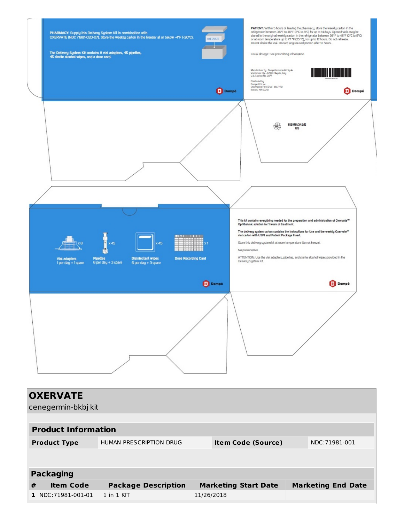

| <b>OXERVATE</b><br>cenegermin-bkbj kit |                            |                                |            |                             |  |                           |  |  |
|----------------------------------------|----------------------------|--------------------------------|------------|-----------------------------|--|---------------------------|--|--|
|                                        | <b>Product Information</b> |                                |            |                             |  |                           |  |  |
|                                        | <b>Product Type</b>        | <b>HUMAN PRESCRIPTION DRUG</b> |            | <b>Item Code (Source)</b>   |  | NDC:71981-001             |  |  |
|                                        |                            |                                |            |                             |  |                           |  |  |
|                                        | <b>Packaging</b>           |                                |            |                             |  |                           |  |  |
| #                                      | <b>Item Code</b>           | <b>Package Description</b>     |            | <b>Marketing Start Date</b> |  | <b>Marketing End Date</b> |  |  |
|                                        | 1   NDC:71981-001-01       | $1$ in $1$ KIT                 | 11/26/2018 |                             |  |                           |  |  |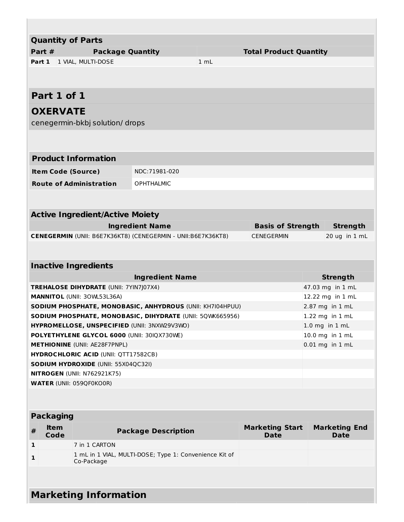|   |                              | <b>Quantity of Parts</b>                                                            |                                                              |      |                               |  |                      |  |
|---|------------------------------|-------------------------------------------------------------------------------------|--------------------------------------------------------------|------|-------------------------------|--|----------------------|--|
|   | Part #                       | <b>Package Quantity</b>                                                             |                                                              |      | <b>Total Product Quantity</b> |  |                      |  |
|   |                              | Part 1   1 VIAL, MULTI-DOSE                                                         |                                                              | 1 mL |                               |  |                      |  |
|   |                              |                                                                                     |                                                              |      |                               |  |                      |  |
|   |                              |                                                                                     |                                                              |      |                               |  |                      |  |
|   | Part 1 of 1                  |                                                                                     |                                                              |      |                               |  |                      |  |
|   | <b>OXERVATE</b>              |                                                                                     |                                                              |      |                               |  |                      |  |
|   |                              | cenegermin-bkbj solution/drops                                                      |                                                              |      |                               |  |                      |  |
|   |                              |                                                                                     |                                                              |      |                               |  |                      |  |
|   |                              |                                                                                     |                                                              |      |                               |  |                      |  |
|   |                              | <b>Product Information</b>                                                          |                                                              |      |                               |  |                      |  |
|   |                              | <b>Item Code (Source)</b>                                                           | NDC:71981-020                                                |      |                               |  |                      |  |
|   |                              |                                                                                     |                                                              |      |                               |  |                      |  |
|   |                              | <b>Route of Administration</b>                                                      | <b>OPHTHALMIC</b>                                            |      |                               |  |                      |  |
|   |                              |                                                                                     |                                                              |      |                               |  |                      |  |
|   |                              | <b>Active Ingredient/Active Moiety</b>                                              |                                                              |      |                               |  |                      |  |
|   |                              |                                                                                     | <b>Ingredient Name</b>                                       |      | <b>Basis of Strength</b>      |  | <b>Strength</b>      |  |
|   |                              |                                                                                     | CENEGERMIN (UNII: B6E7K36KT8) (CENEGERMIN - UNII:B6E7K36KT8) |      | <b>CENEGERMIN</b>             |  | 20 ug in 1 mL        |  |
|   |                              |                                                                                     |                                                              |      |                               |  |                      |  |
|   |                              |                                                                                     |                                                              |      |                               |  |                      |  |
|   |                              | <b>Inactive Ingredients</b>                                                         |                                                              |      |                               |  |                      |  |
|   |                              |                                                                                     | <b>Ingredient Name</b>                                       |      |                               |  | <b>Strength</b>      |  |
|   |                              | TREHALOSE DIHYDRATE (UNII: 7YIN7J07X4)                                              |                                                              |      |                               |  | 47.03 mg in 1 mL     |  |
|   |                              | <b>MANNITOL (UNII: 30WL53L36A)</b>                                                  |                                                              |      |                               |  | 12.22 mg in 1 mL     |  |
|   |                              |                                                                                     | SODIUM PHOSPHATE, MONOBASIC, ANHYDROUS (UNII: KH7I04HPUU)    |      |                               |  | 2.87 mg in 1 mL      |  |
|   |                              |                                                                                     | SODIUM PHOSPHATE, MONOBASIC, DIHYDRATE (UNII: 5QWK665956)    |      |                               |  | 1.22 mg in 1 mL      |  |
|   |                              | HYPROMELLOSE, UNSPECIFIED (UNII: 3NXW29V3WO)                                        |                                                              |      |                               |  | $1.0$ mg in $1$ mL   |  |
|   |                              | POLYETHYLENE GLYCOL 6000 (UNII: 30IQX730WE)                                         |                                                              |      |                               |  | 10.0 mg in 1 mL      |  |
|   |                              | <b>METHIONINE</b> (UNII: AE28F7PNPL)<br><b>HYDROCHLORIC ACID (UNII: QTT17582CB)</b> |                                                              |      |                               |  | $0.01$ mg in $1$ mL  |  |
|   |                              | <b>SODIUM HYDROXIDE (UNII: 55X04QC32I)</b>                                          |                                                              |      |                               |  |                      |  |
|   |                              | NITROGEN (UNII: N762921K75)                                                         |                                                              |      |                               |  |                      |  |
|   |                              | <b>WATER (UNII: 059QF0KO0R)</b>                                                     |                                                              |      |                               |  |                      |  |
|   |                              |                                                                                     |                                                              |      |                               |  |                      |  |
|   |                              |                                                                                     |                                                              |      |                               |  |                      |  |
|   | <b>Packaging</b>             |                                                                                     |                                                              |      |                               |  |                      |  |
| # | <b>Item</b>                  |                                                                                     |                                                              |      | <b>Marketing Start</b>        |  | <b>Marketing End</b> |  |
|   | Code                         |                                                                                     | <b>Package Description</b>                                   |      | <b>Date</b>                   |  | <b>Date</b>          |  |
| 1 |                              | 7 in 1 CARTON                                                                       |                                                              |      |                               |  |                      |  |
| 1 |                              | Co-Package                                                                          | 1 mL in 1 VIAL, MULTI-DOSE; Type 1: Convenience Kit of       |      |                               |  |                      |  |
|   |                              |                                                                                     |                                                              |      |                               |  |                      |  |
|   |                              |                                                                                     |                                                              |      |                               |  |                      |  |
|   |                              |                                                                                     |                                                              |      |                               |  |                      |  |
|   | <b>Marketing Information</b> |                                                                                     |                                                              |      |                               |  |                      |  |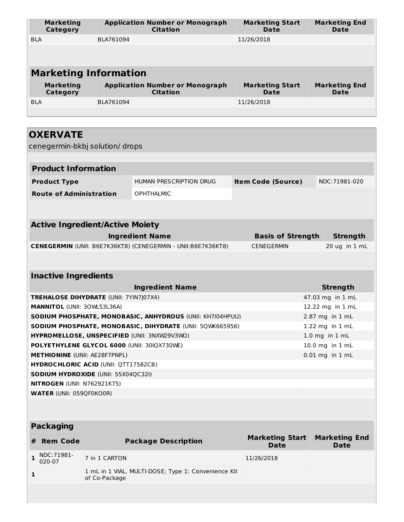| <b>Marketing</b><br>Category | <b>Application Number or Monograph</b><br><b>Citation</b> | <b>Marketing Start</b><br>Date | <b>Marketing End</b><br>Date |  |  |  |
|------------------------------|-----------------------------------------------------------|--------------------------------|------------------------------|--|--|--|
| <b>BLA</b>                   | BLA761094                                                 | 11/26/2018                     |                              |  |  |  |
|                              |                                                           |                                |                              |  |  |  |
| <b>Marketing Information</b> |                                                           |                                |                              |  |  |  |
| <b>Marketing</b><br>Category | <b>Application Number or Monograph</b><br><b>Citation</b> | <b>Marketing Start</b><br>Date | <b>Marketing End</b><br>Date |  |  |  |
| <b>BLA</b>                   | BLA761094                                                 | 11/26/2018                     |                              |  |  |  |
|                              |                                                           |                                |                              |  |  |  |

| <b>OXERVATE</b>                                              |                                |                           |                  |                    |
|--------------------------------------------------------------|--------------------------------|---------------------------|------------------|--------------------|
| cenegermin-bkbj solution/ drops                              |                                |                           |                  |                    |
|                                                              |                                |                           |                  |                    |
| <b>Product Information</b>                                   |                                |                           |                  |                    |
| <b>Product Type</b>                                          | <b>HUMAN PRESCRIPTION DRUG</b> | <b>Item Code (Source)</b> |                  | NDC:71981-020      |
| <b>Route of Administration</b>                               | <b>OPHTHALMIC</b>              |                           |                  |                    |
|                                                              |                                |                           |                  |                    |
|                                                              |                                |                           |                  |                    |
| <b>Active Ingredient/Active Moiety</b>                       |                                |                           |                  |                    |
|                                                              | <b>Ingredient Name</b>         | <b>Basis of Strength</b>  |                  | <b>Strength</b>    |
| CENEGERMIN (UNII: B6E7K36KT8) (CENEGERMIN - UNII:B6E7K36KT8) |                                | <b>CENEGERMIN</b>         |                  | 20 ug in 1 mL      |
|                                                              |                                |                           |                  |                    |
|                                                              |                                |                           |                  |                    |
| <b>Inactive Ingredients</b>                                  |                                |                           |                  |                    |
|                                                              | <b>Ingredient Name</b>         |                           |                  | <b>Strength</b>    |
| TREHALOSE DIHYDRATE (UNII: 7YIN7J07X4)                       |                                |                           |                  | 47.03 mg in 1 mL   |
| <b>MANNITOL (UNII: 30WL53L36A)</b>                           |                                |                           | 12.22 mg in 1 mL |                    |
| SODIUM PHOSPHATE, MONOBASIC, ANHYDROUS (UNII: KH7I04HPUU)    |                                |                           | 2.87 mg in 1 mL  |                    |
| SODIUM PHOSPHATE, MONOBASIC, DIHYDRATE (UNII: 5QWK665956)    |                                |                           |                  | 1.22 mg in 1 mL    |
| HYPROMELLOSE, UNSPECIFIED (UNII: 3NXW29V3WO)                 |                                |                           |                  | $1.0$ mg in $1$ mL |
| POLYETHYLENE GLYCOL 6000 (UNII: 30IQX730WE)                  |                                |                           |                  | 10.0 mg in 1 mL    |
| <b>METHIONINE</b> (UNII: AE28F7PNPL)                         |                                |                           |                  | 0.01 mg in 1 mL    |
| <b>HYDROCHLORIC ACID (UNII: QTT17582CB)</b>                  |                                |                           |                  |                    |
| <b>SODIUM HYDROXIDE (UNII: 55X04QC32I)</b>                   |                                |                           |                  |                    |
| NITROGEN (UNII: N762921K75)                                  |                                |                           |                  |                    |
| <b>WATER (UNII: 059QF0KO0R)</b>                              |                                |                           |                  |                    |
|                                                              |                                |                           |                  |                    |

| <b>Packaging</b>     |                                                                      |                                       |                                     |  |  |  |  |
|----------------------|----------------------------------------------------------------------|---------------------------------------|-------------------------------------|--|--|--|--|
| <b>Item Code</b>     | <b>Package Description</b>                                           | <b>Marketing Start</b><br><b>Date</b> | <b>Marketing End</b><br><b>Date</b> |  |  |  |  |
| NDC:71981-<br>020-07 | 7 in 1 CARTON                                                        | 11/26/2018                            |                                     |  |  |  |  |
|                      | 1 mL in 1 VIAL, MULTI-DOSE; Type 1: Convenience Kit<br>of Co-Package |                                       |                                     |  |  |  |  |
|                      |                                                                      |                                       |                                     |  |  |  |  |